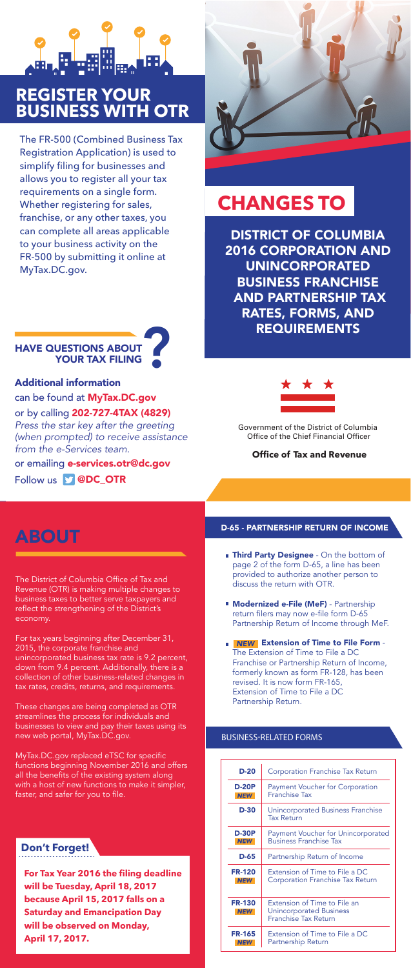DISTRICT OF COLUMBIA 2016 CORPORATION AND UNINCORPORATED BUSINESS FRANCHISE AND PARTNERSHIP TAX RATES, FORMS, AND REQUIREMENTS



- **Third Party Designee** On the bottom of page 2 of the form D-65, a line has been provided to authorize another person to discuss the return with OTR.
- **Modernized e-File (MeF)** Partnership return filers may now e-file form D-65 Partnership Return of Income through MeF.
- Extension of Time to File Form The Extension of Time to File a DC Franchise or Partnership Return of Income, formerly known as form FR-128, has been revised. It is now form FR-165, Extension of Time to File a DC Partnership Return.

| $D-20$                      | Corporation Franchise Tax Return                                                       |
|-----------------------------|----------------------------------------------------------------------------------------|
| <b>D-20P</b>                | <b>Payment Voucher for Corporation</b>                                                 |
| <b>NEW</b>                  | <b>Franchise Tax</b>                                                                   |
| $D-30$                      | Unincorporated Business Franchise<br><b>Tax Return</b>                                 |
| <b>D-30P</b>                | Payment Voucher for Unincorporated                                                     |
| <b>NEW</b>                  | <b>Business Franchise Tax</b>                                                          |
| D-65                        | Partnership Return of Income                                                           |
| <b>FR-120</b>               | Extension of Time to File a DC                                                         |
| <b>NEW</b>                  | Corporation Franchise Tax Return                                                       |
| <b>FR-130</b><br><b>NEW</b> | Extension of Time to File an<br><b>Unincorporated Business</b><br>Franchise Tax Return |
| <b>FR-165</b>               | Extension of Time to File a DC                                                         |
| <b>NEW</b>                  | Partnership Return                                                                     |

The District of Columbia Office of Tax and Revenue (OTR) is making multiple changes to business taxes to better serve taxpayers and reflect the strengthening of the District's economy.

or by calling 202-727-4TAX (4829) *Press the star key after the greeting (when prompted) to receive assistance from the e-Services team.*  or emailing **e-services.otr@dc.gov** 

Follow us **D** @DC\_OTR



For tax years beginning after December 31, 2015, the corporate franchise and unincorporated business tax rate is 9.2 percent, down from 9.4 percent. Additionally, there is a collection of other business-related changes in tax rates, credits, returns, and requirements.

These changes are being completed as OTR streamlines the process for individuals and businesses to view and pay their taxes using its

new web portal, MyTax.DC.gov.

MyTax.DC.gov replaced eTSC for specific functions beginning November 2016 and offers all the benefits of the existing system along with a host of new functions to make it simpler, faster, and safer for you to file.

## **CHANGES TO**

#### **Office of Tax and Revenue**

Government of the District of Columbia Office of the Chief Financial Officer

### ABOUT

#### **Don't Forget!**

**For Tax Year 2016 the filing deadline will be Tuesday, April 18, 2017 because April 15, 2017 falls on a Saturday and Emancipation Day will be observed on Monday, April 17, 2017.**

The FR-500 (Combined Business Tax Registration Application) is used to simplify filing for businesses and allows you to register all your tax requirements on a single form. Whether registering for sales, franchise, or any other taxes, you can complete all areas applicable to your business activity on the FR-500 by submitting it online at MyTax.DC.gov.

#### D-65 - PARTNERSHIP RETURN OF INCOME

#### **BUSINESS-RELATED FORMS**

#### Additional information

can be found at MyTax.DC.gov





### **REGISTER YOUR BUSINESS WITH OTR**